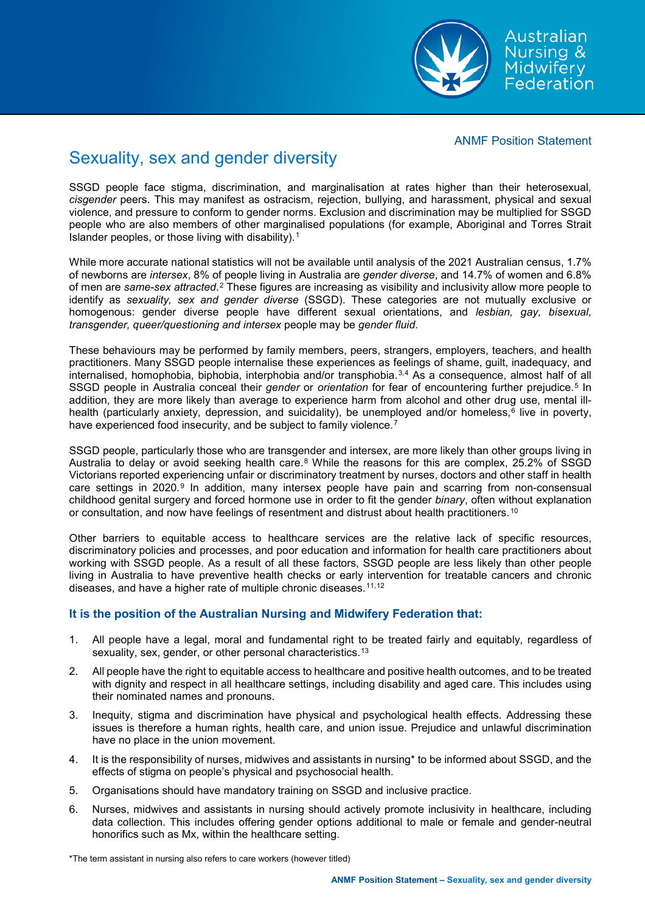ANMF Position Statement

Australian Nursing & Midwifery Federation

# Sexuality, sex and gender diversity

SSGD people face stigma, discrimination, and marginalisation at rates higher than their heterosexual*, cisgender* peers. This may manifest as ostracism, rejection, bullying, and harassment, physical and sexual violence, and pressure to conform to gender norms. Exclusion and discrimination may be multiplied for SSGD people who are also members of other marginalised populations (for example, Aboriginal and Torres Strait Islander peoples, or those living with disability).[1](#page-3-0)

While more accurate national statistics will not be available until analysis of the 2021 Australian census, 1.7% of newborns are *intersex*, 8% of people living in Australia are *gender diverse*, and 14.7% of women and 6.8% of men are *same-sex attracted*.[2](#page-3-1) These figures are increasing as visibility and inclusivity allow more people to identify as *sexuality, sex and gender diverse* (SSGD). These categories are not mutually exclusive or homogenous: gender diverse people have different sexual orientations, and *lesbian, gay, bisexual, transgender, queer/questioning and intersex* people may be *gender fluid*.

These behaviours may be performed by family members, peers, strangers, employers, teachers, and health practitioners. Many SSGD people internalise these experiences as feelings of shame, guilt, inadequacy, and internalised, homophobia, biphobia, interphobia and/or transphobia.[3](#page-3-2),[4](#page-3-3) As a consequence, almost half of all SSGD people in Australia conceal their *gender* or *orientation* for fear of encountering further prejudice.[5](#page-3-4) In addition, they are more likely than average to experience harm from alcohol and other drug use, mental ill-health (particularly anxiety, depression, and suicidality), be unemployed and/or homeless,<sup>[6](#page-3-5)</sup> live in poverty, have experienced food insecurity, and be subject to family violence.<sup>[7](#page-3-6)</sup>

SSGD people, particularly those who are transgender and intersex, are more likely than other groups living in Australia to delay or avoid seeking health care.<sup>[8](#page-3-7)</sup> While the reasons for this are complex, 25.2% of SSGD Victorians reported experiencing unfair or discriminatory treatment by nurses, doctors and other staff in health care settings in 2020.<sup>[9](#page-3-8)</sup> In addition, many intersex people have pain and scarring from non-consensual childhood genital surgery and forced hormone use in order to fit the gender *binary*, often without explanation or consultation, and now have feelings of resentment and distrust about health practitioners.<sup>[10](#page-3-9)</sup>

Other barriers to equitable access to healthcare services are the relative lack of specific resources, discriminatory policies and processes, and poor education and information for health care practitioners about working with SSGD people. As a result of all these factors, SSGD people are less likely than other people living in Australia to have preventive health checks or early intervention for treatable cancers and chronic diseases, and have a higher rate of multiple chronic diseases.<sup>[11](#page-3-10),[12](#page-3-11)</sup>

## **It is the position of the Australian Nursing and Midwifery Federation that:**

- 1. All people have a legal, moral and fundamental right to be treated fairly and equitably, regardless of sexuality, sex, gender, or other personal characteristics.<sup>[13](#page-3-12)</sup>
- 2. All people have the right to equitable access to healthcare and positive health outcomes, and to be treated with dignity and respect in all healthcare settings, including disability and aged care. This includes using their nominated names and pronouns.
- 3. Inequity, stigma and discrimination have physical and psychological health effects. Addressing these issues is therefore a human rights, health care, and union issue. Prejudice and unlawful discrimination have no place in the union movement.
- 4. It is the responsibility of nurses, midwives and assistants in nursing\* to be informed about SSGD, and the effects of stigma on people's physical and psychosocial health.
- 5. Organisations should have mandatory training on SSGD and inclusive practice.
- 6. Nurses, midwives and assistants in nursing should actively promote inclusivity in healthcare, including data collection. This includes offering gender options additional to male or female and gender-neutral honorifics such as Mx, within the healthcare setting.

\*The term assistant in nursing also refers to care workers (however titled)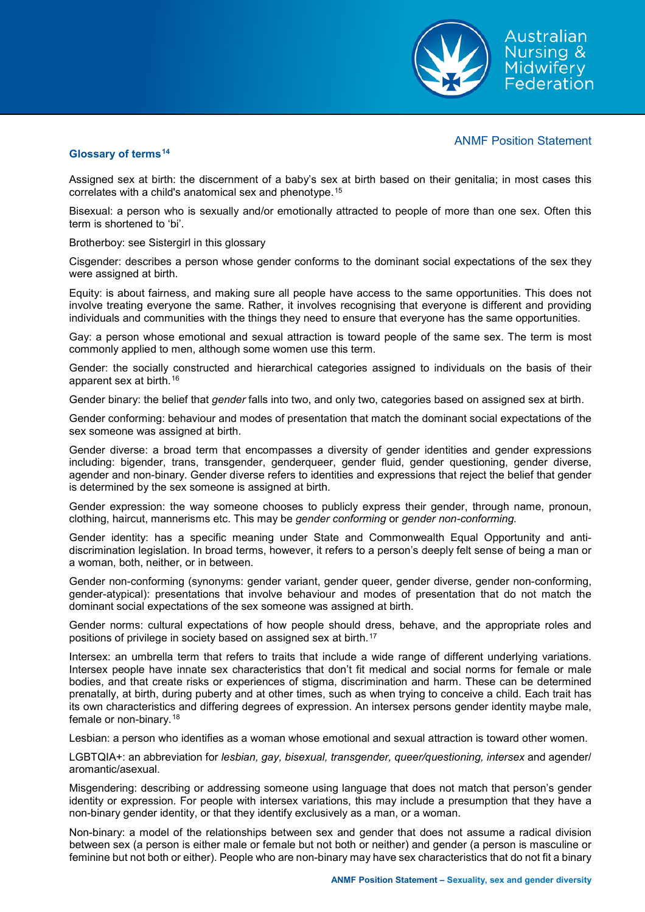ANMF Position Statement

Australian Nursing & Midwiferv Federation

#### **Glossary of terms[14](#page-3-13)**

Assigned sex at birth: the discernment of a baby's sex at birth based on their genitalia; in most cases this correlates with a child's anatomical sex and phenotype.[15](#page-3-14) 

Bisexual: a person who is sexually and/or emotionally attracted to people of more than one sex. Often this term is shortened to 'bi'.

Brotherboy: see Sistergirl in this glossary

Cisgender: describes a person whose gender conforms to the dominant social expectations of the sex they were assigned at birth.

Equity: is about fairness, and making sure all people have access to the same opportunities. This does not involve treating everyone the same. Rather, it involves recognising that everyone is different and providing individuals and communities with the things they need to ensure that everyone has the same opportunities.

Gay: a person whose emotional and sexual attraction is toward people of the same sex. The term is most commonly applied to men, although some women use this term.

Gender: the socially constructed and hierarchical categories assigned to individuals on the basis of their apparent sex at birth.[16](#page-3-15)

Gender binary: the belief that *gender* falls into two, and only two, categories based on assigned sex at birth.

Gender conforming: behaviour and modes of presentation that match the dominant social expectations of the sex someone was assigned at birth.

Gender diverse: a broad term that encompasses a diversity of gender identities and gender expressions including: bigender, trans, transgender, genderqueer, gender fluid, gender questioning, gender diverse, agender and non-binary. Gender diverse refers to identities and expressions that reject the belief that gender is determined by the sex someone is assigned at birth.

Gender expression: the way someone chooses to publicly express their gender, through name, pronoun, clothing, haircut, mannerisms etc. This may be *gender conforming* or *gender non-conforming.*

Gender identity: has a specific meaning under State and Commonwealth Equal Opportunity and antidiscrimination legislation. In broad terms, however, it refers to a person's deeply felt sense of being a man or a woman, both, neither, or in between.

Gender non-conforming (synonyms: gender variant, gender queer, gender diverse, gender non-conforming, gender-atypical): presentations that involve behaviour and modes of presentation that do not match the dominant social expectations of the sex someone was assigned at birth.

Gender norms: cultural expectations of how people should dress, behave, and the appropriate roles and positions of privilege in society based on assigned sex at birth.[17](#page-3-16)

Intersex: an umbrella term that refers to traits that include a wide range of different underlying variations. Intersex people have innate sex characteristics that don't fit medical and social norms for female or male bodies, and that create risks or experiences of stigma, discrimination and harm. These can be determined prenatally, at birth, during puberty and at other times, such as when trying to conceive a child. Each trait has its own characteristics and differing degrees of expression. An intersex persons gender identity maybe male, female or non-binary.<sup>[18](#page-3-17)</sup>

Lesbian: a person who identifies as a woman whose emotional and sexual attraction is toward other women.

LGBTQIA+: an abbreviation for *lesbian, gay, bisexual, transgender, queer/questioning, intersex* and agender/ aromantic/asexual.

Misgendering: describing or addressing someone using language that does not match that person's gender identity or expression. For people with intersex variations, this may include a presumption that they have a non-binary gender identity, or that they identify exclusively as a man, or a woman.

Non-binary: a model of the relationships between sex and gender that does not assume a radical division between sex (a person is either male or female but not both or neither) and gender (a person is masculine or feminine but not both or either). People who are non-binary may have sex characteristics that do not fit a binary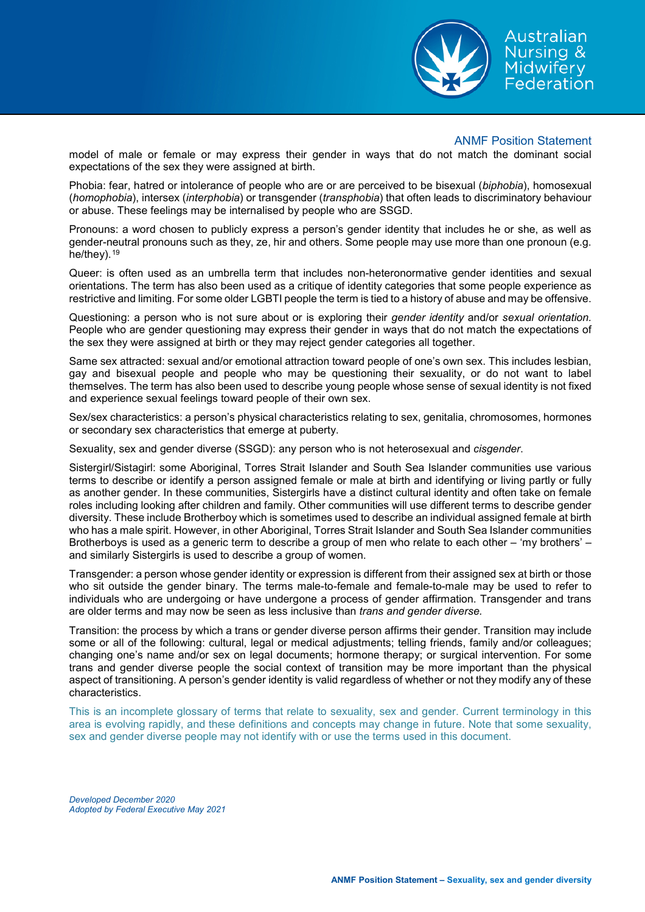

Australian **Nursing &** Midwifery Federation

#### ANMF Position Statement

model of male or female or may express their gender in ways that do not match the dominant social expectations of the sex they were assigned at birth.

Phobia: fear, hatred or intolerance of people who are or are perceived to be bisexual (*biphobia*), homosexual (*homophobia*), intersex (*interphobia*) or transgender (*transphobia*) that often leads to discriminatory behaviour or abuse. These feelings may be internalised by people who are SSGD.

Pronouns: a word chosen to publicly express a person's gender identity that includes he or she, as well as gender-neutral pronouns such as they, ze, hir and others. Some people may use more than one pronoun (e.g. he/they).<sup>[19](#page-3-18)</sup>

Queer: is often used as an umbrella term that includes non-heteronormative gender identities and sexual orientations. The term has also been used as a critique of identity categories that some people experience as restrictive and limiting. For some older LGBTI people the term is tied to a history of abuse and may be offensive.

Questioning: a person who is not sure about or is exploring their *gender identity* and/or *sexual orientation.* People who are gender questioning may express their gender in ways that do not match the expectations of the sex they were assigned at birth or they may reject gender categories all together.

Same sex attracted: sexual and/or emotional attraction toward people of one's own sex. This includes lesbian, gay and bisexual people and people who may be questioning their sexuality, or do not want to label themselves. The term has also been used to describe young people whose sense of sexual identity is not fixed and experience sexual feelings toward people of their own sex.

Sex/sex characteristics: a person's physical characteristics relating to sex, genitalia, chromosomes, hormones or secondary sex characteristics that emerge at puberty.

Sexuality, sex and gender diverse (SSGD): any person who is not heterosexual and *cisgender*.

Sistergirl/Sistagirl: some Aboriginal, Torres Strait Islander and South Sea Islander communities use various terms to describe or identify a person assigned female or male at birth and identifying or living partly or fully as another gender. In these communities, Sistergirls have a distinct cultural identity and often take on female roles including looking after children and family. Other communities will use different terms to describe gender diversity. These include Brotherboy which is sometimes used to describe an individual assigned female at birth who has a male spirit. However, in other Aboriginal, Torres Strait Islander and South Sea Islander communities Brotherboys is used as a generic term to describe a group of men who relate to each other – 'my brothers' – and similarly Sistergirls is used to describe a group of women.

Transgender: a person whose gender identity or expression is different from their assigned sex at birth or those who sit outside the gender binary. The terms male-to-female and female-to-male may be used to refer to individuals who are undergoing or have undergone a process of gender affirmation. Transgender and trans are older terms and may now be seen as less inclusive than *trans and gender diverse.*

Transition: the process by which a trans or gender diverse person affirms their gender. Transition may include some or all of the following: cultural, legal or medical adjustments; telling friends, family and/or colleagues; changing one's name and/or sex on legal documents; hormone therapy; or surgical intervention. For some trans and gender diverse people the social context of transition may be more important than the physical aspect of transitioning. A person's gender identity is valid regardless of whether or not they modify any of these characteristics.

This is an incomplete glossary of terms that relate to sexuality, sex and gender. Current terminology in this area is evolving rapidly, and these definitions and concepts may change in future. Note that some sexuality, sex and gender diverse people may not identify with or use the terms used in this document.

*Developed December 2020 Adopted by Federal Executive May 2021*